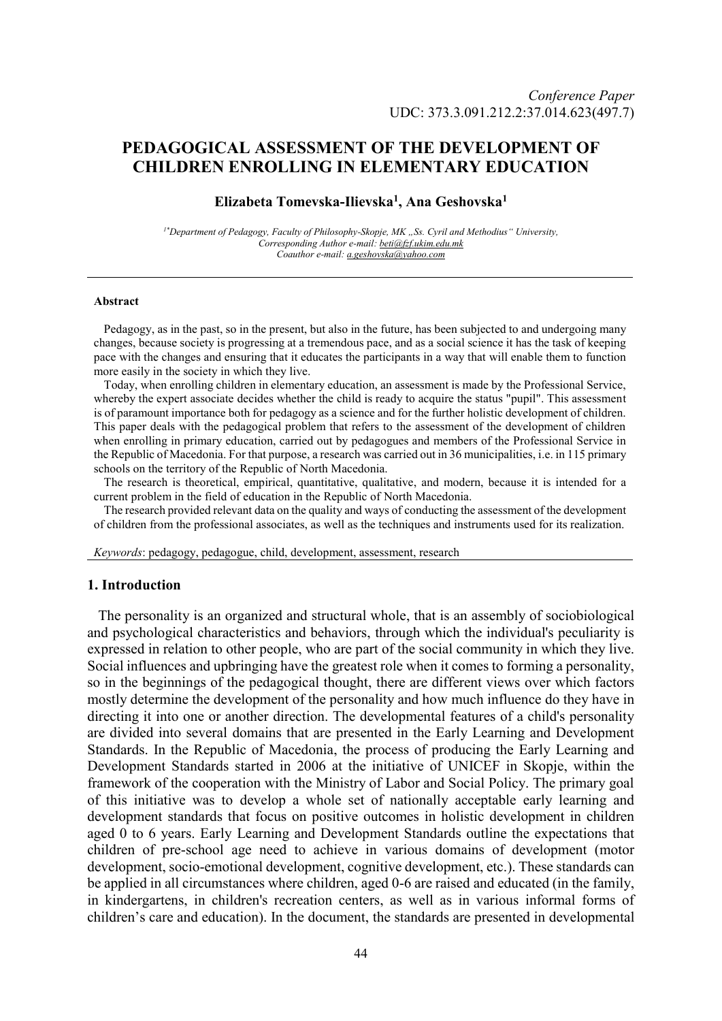# **PEDAGOGICAL ASSESSMENT OF THE DEVELOPMENT OF CHILDREN ENROLLING IN ELEMENTARY EDUCATION**

## **Elizabeta Tomevska-Ilievska<sup>1</sup> , Ana Geshovska<sup>1</sup>**

<sup>1\*</sup>*Department of Pedagogy, Faculty of Philosophy-Skopje, MK "Ss. Cyril and Methodius" University, Corresponding Author e-mail: beti@fzf.ukim.edu.mk Coauthor e-mail: a.geshovska@yahoo.com*

#### **Abstract**

Pedagogy, as in the past, so in the present, but also in the future, has been subjected to and undergoing many changes, because society is progressing at a tremendous pace, and as a social science it has the task of keeping pace with the changes and ensuring that it educates the participants in a way that will enable them to function more easily in the society in which they live.

Today, when enrolling children in elementary education, an assessment is made by the Professional Service, whereby the expert associate decides whether the child is ready to acquire the status "pupil". This assessment is of paramount importance both for pedagogy as a science and for the further holistic development of children. This paper deals with the pedagogical problem that refers to the assessment of the development of children when enrolling in primary education, carried out by pedagogues and members of the Professional Service in the Republic of Macedonia. For that purpose, a research was carried out in 36 municipalities, i.e. in 115 primary schools on the territory of the Republic of North Macedonia.

The research is theoretical, empirical, quantitative, qualitative, and modern, because it is intended for a current problem in the field of education in the Republic of North Macedonia.

The research provided relevant data on the quality and ways of conducting the assessment of the development of children from the professional associates, as well as the techniques and instruments used for its realization.

*Keywords*: pedagogy, pedagogue, child, development, assessment, research

#### **1. Introduction**

The personality is an organized and structural whole, that is an assembly of sociobiological and psychological characteristics and behaviors, through which the individual's peculiarity is expressed in relation to other people, who are part of the social community in which they live. Social influences and upbringing have the greatest role when it comes to forming a personality, so in the beginnings of the pedagogical thought, there are different views over which factors mostly determine the development of the personality and how much influence do they have in directing it into one or another direction. The developmental features of a child's personality are divided into several domains that are presented in the Early Learning and Development Standards. In the Republic of Macedonia, the process of producing the Early Learning and Development Standards started in 2006 at the initiative of UNICEF in Skopje, within the framework of the cooperation with the Ministry of Labor and Social Policy. The primary goal of this initiative was to develop a whole set of nationally acceptable early learning and development standards that focus on positive outcomes in holistic development in children aged 0 to 6 years. Early Learning and Development Standards outline the expectations that children of pre-school age need to achieve in various domains of development (motor development, socio-emotional development, cognitive development, etc.). These standards can be applied in all circumstances where children, aged 0-6 are raised and educated (in the family, in kindergartens, in children's recreation centers, as well as in various informal forms of children's care and education). In the document, the standards are presented in developmental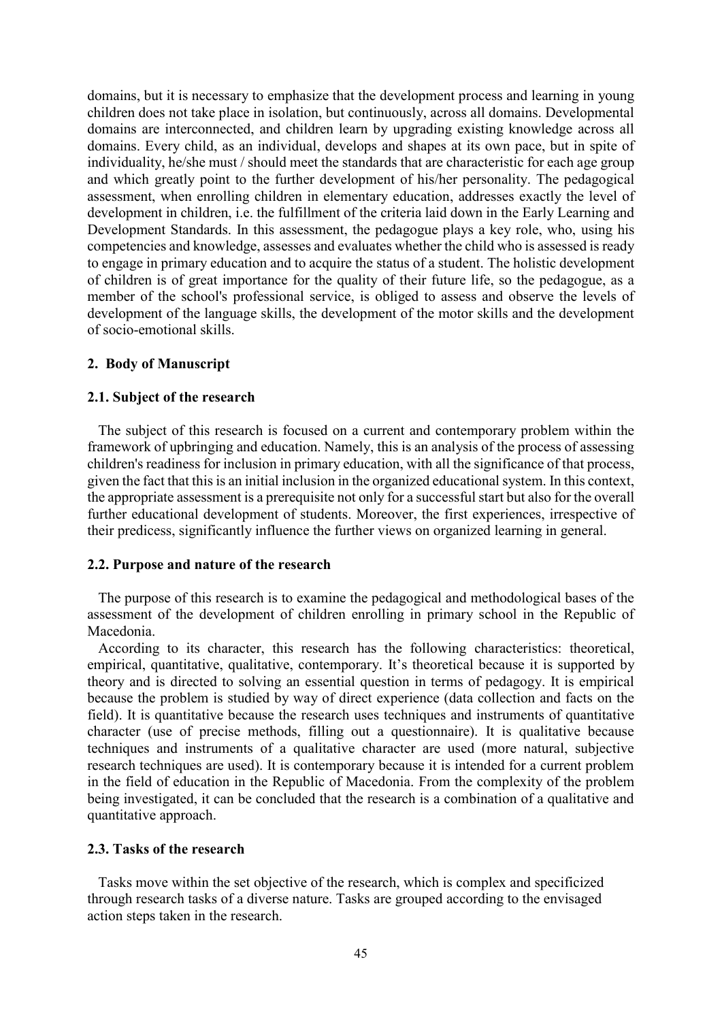domains, but it is necessary to emphasize that the development process and learning in young children does not take place in isolation, but continuously, across all domains. Developmental domains are interconnected, and children learn by upgrading existing knowledge across all domains. Every child, as an individual, develops and shapes at its own pace, but in spite of individuality, he/she must / should meet the standards that are characteristic for each age group and which greatly point to the further development of his/her personality. The pedagogical assessment, when enrolling children in elementary education, addresses exactly the level of development in children, i.e. the fulfillment of the criteria laid down in the Early Learning and Development Standards. In this assessment, the pedagogue plays a key role, who, using his competencies and knowledge, assesses and evaluates whether the child who is assessed is ready to engage in primary education and to acquire the status of a student. The holistic development of children is of great importance for the quality of their future life, so the pedagogue, as a member of the school's professional service, is obliged to assess and observe the levels of development of the language skills, the development of the motor skills and the development of socio-emotional skills.

## **2. Body of Manuscript**

## **2.1. Subject of the research**

The subject of this research is focused on a current and contemporary problem within the framework of upbringing and education. Namely, this is an analysis of the process of assessing children's readiness for inclusion in primary education, with all the significance of that process, given the fact that this is an initial inclusion in the organized educational system. In this context, the appropriate assessment is a prerequisite not only for a successful start but also for the overall further educational development of students. Moreover, the first experiences, irrespective of their predicess, significantly influence the further views on organized learning in general.

### **2.2. Purpose and nature of the research**

The purpose of this research is to examine the pedagogical and methodological bases of the assessment of the development of children enrolling in primary school in the Republic of Macedonia.

According to its character, this research has the following characteristics: theoretical, empirical, quantitative, qualitative, contemporary. It's theoretical because it is supported by theory and is directed to solving an essential question in terms of pedagogy. It is empirical because the problem is studied by way of direct experience (data collection and facts on the field). It is quantitative because the research uses techniques and instruments of quantitative character (use of precise methods, filling out a questionnaire). It is qualitative because techniques and instruments of a qualitative character are used (more natural, subjective research techniques are used). It is contemporary because it is intended for a current problem in the field of education in the Republic of Macedonia. From the complexity of the problem being investigated, it can be concluded that the research is a combination of a qualitative and quantitative approach.

# **2.3. Tasks of the research**

Tasks move within the set objective of the research, which is complex and specificized through research tasks of a diverse nature. Tasks are grouped according to the envisaged action steps taken in the research.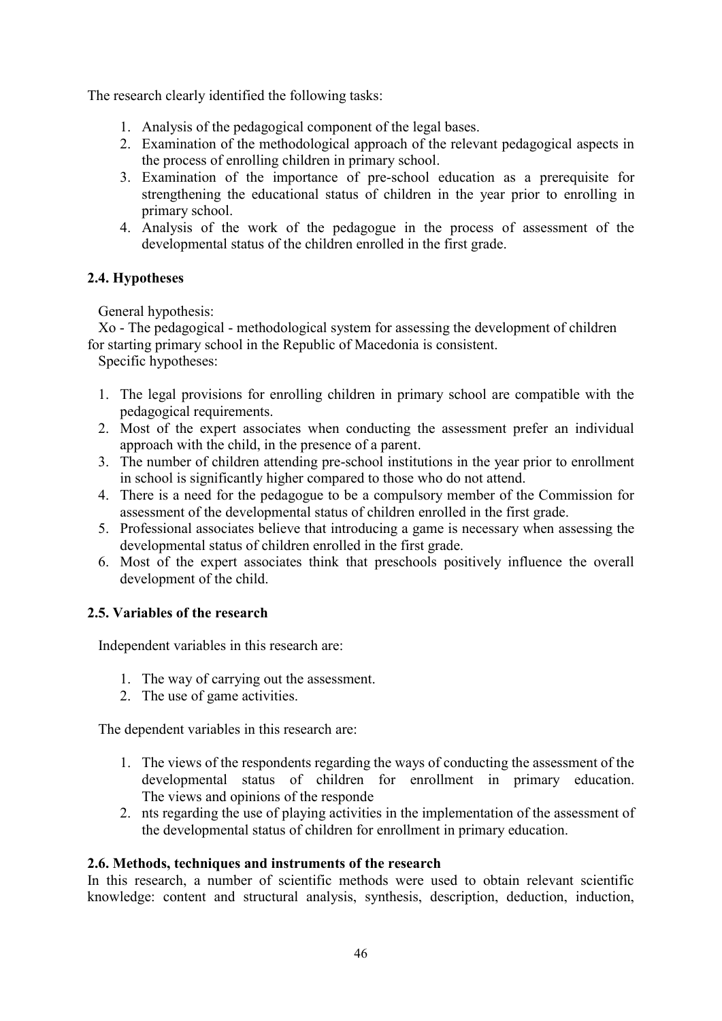The research clearly identified the following tasks:

- 1. Analysis of the pedagogical component of the legal bases.
- 2. Examination of the methodological approach of the relevant pedagogical aspects in the process of enrolling children in primary school.
- 3. Examination of the importance of pre-school education as a prerequisite for strengthening the educational status of children in the year prior to enrolling in primary school.
- 4. Analysis of the work of the pedagogue in the process of assessment of the developmental status of the children enrolled in the first grade.

# **2.4. Hypotheses**

General hypothesis:

Xo - The pedagogical - methodological system for assessing the development of children for starting primary school in the Republic of Macedonia is consistent.

Specific hypotheses:

- 1. The legal provisions for enrolling children in primary school are compatible with the pedagogical requirements.
- 2. Most of the expert associates when conducting the assessment prefer an individual approach with the child, in the presence of a parent.
- 3. The number of children attending pre-school institutions in the year prior to enrollment in school is significantly higher compared to those who do not attend.
- 4. There is a need for the pedagogue to be a compulsory member of the Commission for assessment of the developmental status of children enrolled in the first grade.
- 5. Professional associates believe that introducing a game is necessary when assessing the developmental status of children enrolled in the first grade.
- 6. Most of the expert associates think that preschools positively influence the overall development of the child.

# **2.5. Variables of the research**

Independent variables in this research are:

- 1. The way of carrying out the assessment.
- 2. The use of game activities.

The dependent variables in this research are:

- 1. The views of the respondents regarding the ways of conducting the assessment of the developmental status of children for enrollment in primary education. The views and opinions of the responde
- 2. nts regarding the use of playing activities in the implementation of the assessment of the developmental status of children for enrollment in primary education.

# **2.6. Methods, techniques and instruments of the research**

In this research, a number of scientific methods were used to obtain relevant scientific knowledge: content and structural analysis, synthesis, description, deduction, induction,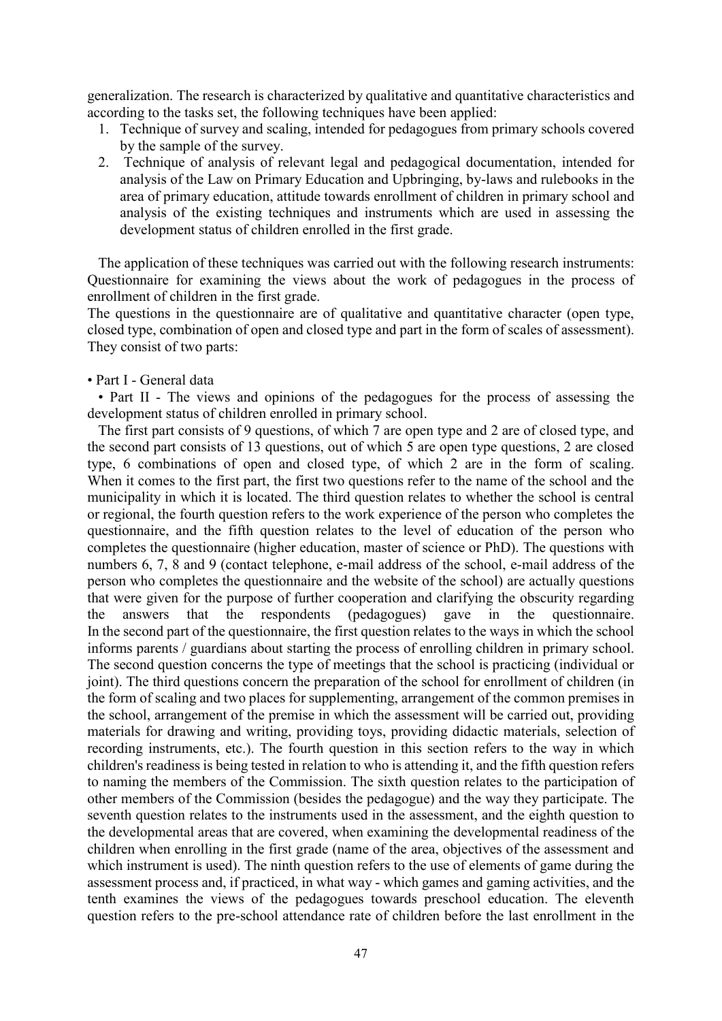generalization. The research is characterized by qualitative and quantitative characteristics and according to the tasks set, the following techniques have been applied:

- 1. Technique of survey and scaling, intended for pedagogues from primary schools covered by the sample of the survey.
- 2. Technique of analysis of relevant legal and pedagogical documentation, intended for analysis of the Law on Primary Education and Upbringing, by-laws and rulebooks in the area of primary education, attitude towards enrollment of children in primary school and analysis of the existing techniques and instruments which are used in assessing the development status of children enrolled in the first grade.

The application of these techniques was carried out with the following research instruments: Questionnaire for examining the views about the work of pedagogues in the process of enrollment of children in the first grade.

The questions in the questionnaire are of qualitative and quantitative character (open type, closed type, combination of open and closed type and part in the form of scales of assessment). They consist of two parts:

• Part I - General data

• Part II - The views and opinions of the pedagogues for the process of assessing the development status of children enrolled in primary school.

The first part consists of 9 questions, of which 7 are open type and 2 are of closed type, and the second part consists of 13 questions, out of which 5 are open type questions, 2 are closed type, 6 combinations of open and closed type, of which 2 are in the form of scaling. When it comes to the first part, the first two questions refer to the name of the school and the municipality in which it is located. The third question relates to whether the school is central or regional, the fourth question refers to the work experience of the person who completes the questionnaire, and the fifth question relates to the level of education of the person who completes the questionnaire (higher education, master of science or PhD). The questions with numbers 6, 7, 8 and 9 (contact telephone, e-mail address of the school, e-mail address of the person who completes the questionnaire and the website of the school) are actually questions that were given for the purpose of further cooperation and clarifying the obscurity regarding the answers that the respondents (pedagogues) gave in the questionnaire. In the second part of the questionnaire, the first question relates to the ways in which the school informs parents / guardians about starting the process of enrolling children in primary school. The second question concerns the type of meetings that the school is practicing (individual or joint). The third questions concern the preparation of the school for enrollment of children (in the form of scaling and two places for supplementing, arrangement of the common premises in the school, arrangement of the premise in which the assessment will be carried out, providing materials for drawing and writing, providing toys, providing didactic materials, selection of recording instruments, etc.). The fourth question in this section refers to the way in which children's readiness is being tested in relation to who is attending it, and the fifth question refers to naming the members of the Commission. The sixth question relates to the participation of other members of the Commission (besides the pedagogue) and the way they participate. The seventh question relates to the instruments used in the assessment, and the eighth question to the developmental areas that are covered, when examining the developmental readiness of the children when enrolling in the first grade (name of the area, objectives of the assessment and which instrument is used). The ninth question refers to the use of elements of game during the assessment process and, if practiced, in what way - which games and gaming activities, and the tenth examines the views of the pedagogues towards preschool education. The eleventh question refers to the pre-school attendance rate of children before the last enrollment in the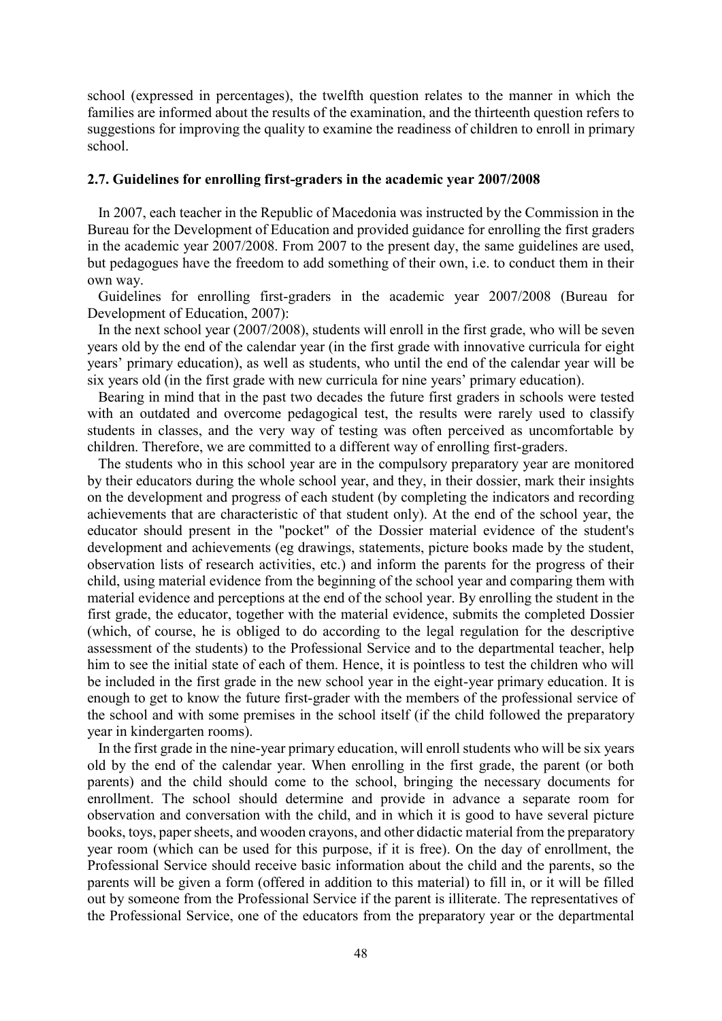school (expressed in percentages), the twelfth question relates to the manner in which the families are informed about the results of the examination, and the thirteenth question refers to suggestions for improving the quality to examine the readiness of children to enroll in primary school.

### **2.7. Guidelines for enrolling first-graders in the academic year 2007/2008**

In 2007, each teacher in the Republic of Macedonia was instructed by the Commission in the Bureau for the Development of Education and provided guidance for enrolling the first graders in the academic year 2007/2008. From 2007 to the present day, the same guidelines are used, but pedagogues have the freedom to add something of their own, i.e. to conduct them in their own way.

Guidelines for enrolling first-graders in the academic year 2007/2008 (Bureau for Development of Education, 2007):

In the next school year (2007/2008), students will enroll in the first grade, who will be seven years old by the end of the calendar year (in the first grade with innovative curricula for eight years' primary education), as well as students, who until the end of the calendar year will be six years old (in the first grade with new curricula for nine years' primary education).

Bearing in mind that in the past two decades the future first graders in schools were tested with an outdated and overcome pedagogical test, the results were rarely used to classify students in classes, and the very way of testing was often perceived as uncomfortable by children. Therefore, we are committed to a different way of enrolling first-graders.

The students who in this school year are in the compulsory preparatory year are monitored by their educators during the whole school year, and they, in their dossier, mark their insights on the development and progress of each student (by completing the indicators and recording achievements that are characteristic of that student only). At the end of the school year, the educator should present in the "pocket" of the Dossier material evidence of the student's development and achievements (eg drawings, statements, picture books made by the student, observation lists of research activities, etc.) and inform the parents for the progress of their child, using material evidence from the beginning of the school year and comparing them with material evidence and perceptions at the end of the school year. By enrolling the student in the first grade, the educator, together with the material evidence, submits the completed Dossier (which, of course, he is obliged to do according to the legal regulation for the descriptive assessment of the students) to the Professional Service and to the departmental teacher, help him to see the initial state of each of them. Hence, it is pointless to test the children who will be included in the first grade in the new school year in the eight-year primary education. It is enough to get to know the future first-grader with the members of the professional service of the school and with some premises in the school itself (if the child followed the preparatory year in kindergarten rooms).

In the first grade in the nine-year primary education, will enroll students who will be six years old by the end of the calendar year. When enrolling in the first grade, the parent (or both parents) and the child should come to the school, bringing the necessary documents for enrollment. The school should determine and provide in advance a separate room for observation and conversation with the child, and in which it is good to have several picture books, toys, paper sheets, and wooden crayons, and other didactic material from the preparatory year room (which can be used for this purpose, if it is free). On the day of enrollment, the Professional Service should receive basic information about the child and the parents, so the parents will be given a form (offered in addition to this material) to fill in, or it will be filled out by someone from the Professional Service if the parent is illiterate. The representatives of the Professional Service, one of the educators from the preparatory year or the departmental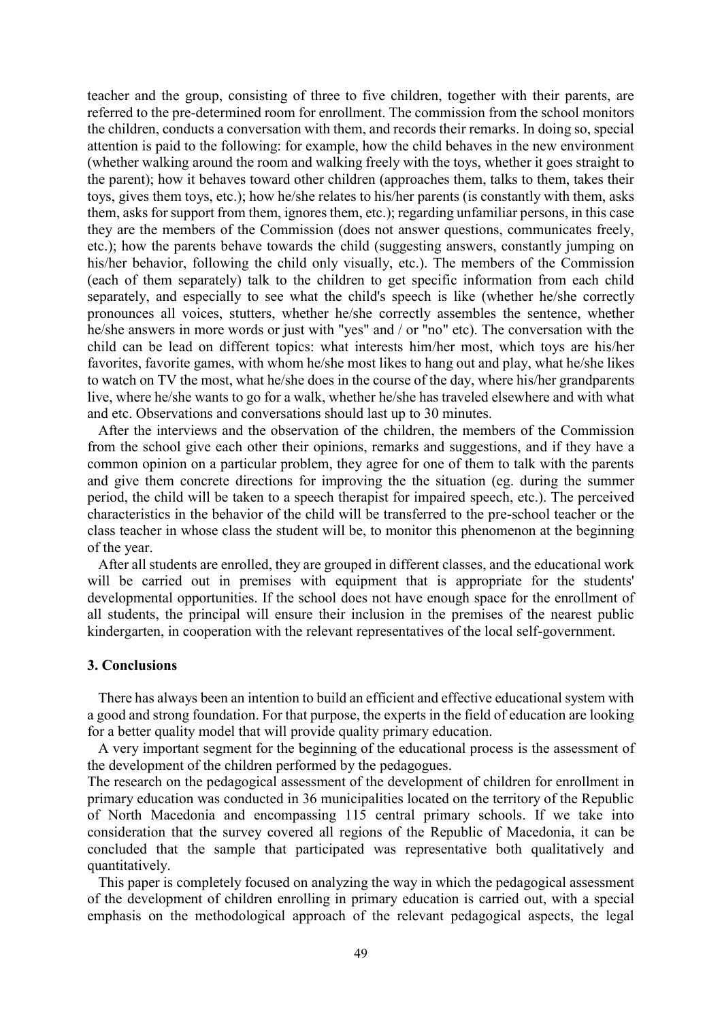teacher and the group, consisting of three to five children, together with their parents, are referred to the pre-determined room for enrollment. The commission from the school monitors the children, conducts a conversation with them, and records their remarks. In doing so, special attention is paid to the following: for example, how the child behaves in the new environment (whether walking around the room and walking freely with the toys, whether it goes straight to the parent); how it behaves toward other children (approaches them, talks to them, takes their toys, gives them toys, etc.); how he/she relates to his/her parents (is constantly with them, asks them, asks for support from them, ignores them, etc.); regarding unfamiliar persons, in this case they are the members of the Commission (does not answer questions, communicates freely, etc.); how the parents behave towards the child (suggesting answers, constantly jumping on his/her behavior, following the child only visually, etc.). The members of the Commission (each of them separately) talk to the children to get specific information from each child separately, and especially to see what the child's speech is like (whether he/she correctly pronounces all voices, stutters, whether he/she correctly assembles the sentence, whether he/she answers in more words or just with "yes" and / or "no" etc). The conversation with the child can be lead on different topics: what interests him/her most, which toys are his/her favorites, favorite games, with whom he/she most likes to hang out and play, what he/she likes to watch on TV the most, what he/she does in the course of the day, where his/her grandparents live, where he/she wants to go for a walk, whether he/she has traveled elsewhere and with what and etc. Observations and conversations should last up to 30 minutes.

After the interviews and the observation of the children, the members of the Commission from the school give each other their opinions, remarks and suggestions, and if they have a common opinion on a particular problem, they agree for one of them to talk with the parents and give them concrete directions for improving the the situation (eg. during the summer period, the child will be taken to a speech therapist for impaired speech, etc.). The perceived characteristics in the behavior of the child will be transferred to the pre-school teacher or the class teacher in whose class the student will be, to monitor this phenomenon at the beginning of the year.

After all students are enrolled, they are grouped in different classes, and the educational work will be carried out in premises with equipment that is appropriate for the students' developmental opportunities. If the school does not have enough space for the enrollment of all students, the principal will ensure their inclusion in the premises of the nearest public kindergarten, in cooperation with the relevant representatives of the local self-government.

#### **3. Conclusions**

There has always been an intention to build an efficient and effective educational system with a good and strong foundation. For that purpose, the experts in the field of education are looking for a better quality model that will provide quality primary education.

A very important segment for the beginning of the educational process is the assessment of the development of the children performed by the pedagogues.

The research on the pedagogical assessment of the development of children for enrollment in primary education was conducted in 36 municipalities located on the territory of the Republic of North Macedonia and encompassing 115 central primary schools. If we take into consideration that the survey covered all regions of the Republic of Macedonia, it can be concluded that the sample that participated was representative both qualitatively and quantitatively.

This paper is completely focused on analyzing the way in which the pedagogical assessment of the development of children enrolling in primary education is carried out, with a special emphasis on the methodological approach of the relevant pedagogical aspects, the legal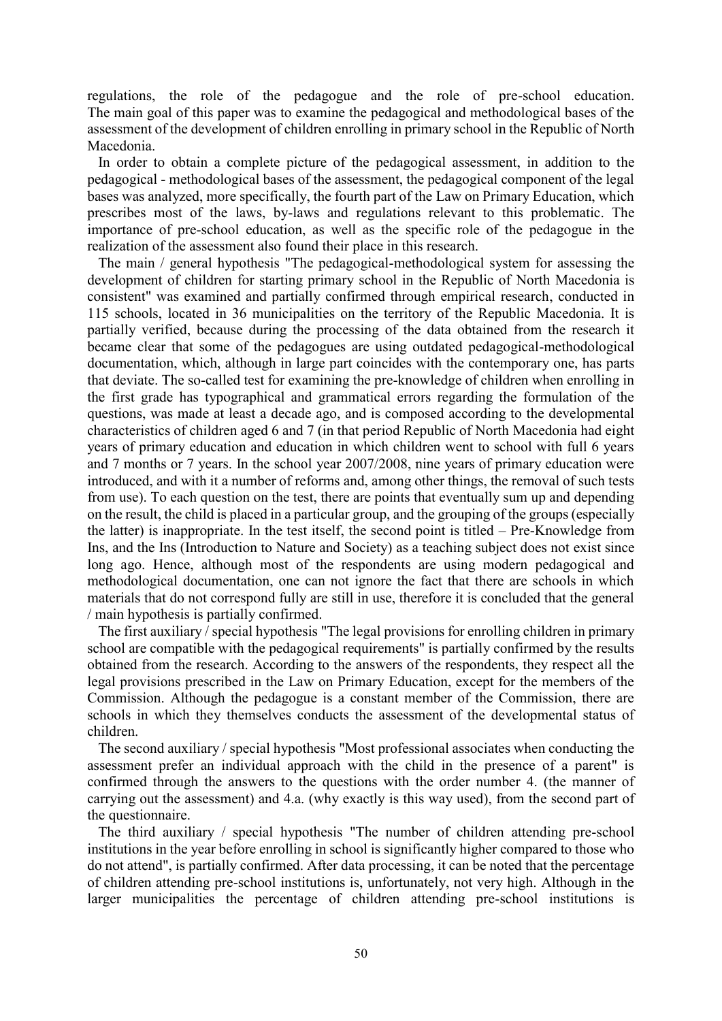regulations, the role of the pedagogue and the role of pre-school education. The main goal of this paper was to examine the pedagogical and methodological bases of the assessment of the development of children enrolling in primary school in the Republic of North Macedonia.

In order to obtain a complete picture of the pedagogical assessment, in addition to the pedagogical - methodological bases of the assessment, the pedagogical component of the legal bases was analyzed, more specifically, the fourth part of the Law on Primary Education, which prescribes most of the laws, by-laws and regulations relevant to this problematic. The importance of pre-school education, as well as the specific role of the pedagogue in the realization of the assessment also found their place in this research.

The main / general hypothesis "The pedagogical-methodological system for assessing the development of children for starting primary school in the Republic of North Macedonia is consistent" was examined and partially confirmed through empirical research, conducted in 115 schools, located in 36 municipalities on the territory of the Republic Macedonia. It is partially verified, because during the processing of the data obtained from the research it became clear that some of the pedagogues are using outdated pedagogical-methodological documentation, which, although in large part coincides with the contemporary one, has parts that deviate. The so-called test for examining the pre-knowledge of children when enrolling in the first grade has typographical and grammatical errors regarding the formulation of the questions, was made at least a decade ago, and is composed according to the developmental characteristics of children aged 6 and 7 (in that period Republic of North Macedonia had eight years of primary education and education in which children went to school with full 6 years and 7 months or 7 years. In the school year 2007/2008, nine years of primary education were introduced, and with it a number of reforms and, among other things, the removal of such tests from use). To each question on the test, there are points that eventually sum up and depending on the result, the child is placed in a particular group, and the grouping of the groups (especially the latter) is inappropriate. In the test itself, the second point is titled – Pre-Knowledge from Ins, and the Ins (Introduction to Nature and Society) as a teaching subject does not exist since long ago. Hence, although most of the respondents are using modern pedagogical and methodological documentation, one can not ignore the fact that there are schools in which materials that do not correspond fully are still in use, therefore it is concluded that the general / main hypothesis is partially confirmed.

The first auxiliary / special hypothesis "The legal provisions for enrolling children in primary school are compatible with the pedagogical requirements" is partially confirmed by the results obtained from the research. According to the answers of the respondents, they respect all the legal provisions prescribed in the Law on Primary Education, except for the members of the Commission. Although the pedagogue is a constant member of the Commission, there are schools in which they themselves conducts the assessment of the developmental status of children.

The second auxiliary / special hypothesis "Most professional associates when conducting the assessment prefer an individual approach with the child in the presence of a parent" is confirmed through the answers to the questions with the order number 4. (the manner of carrying out the assessment) and 4.a. (why exactly is this way used), from the second part of the questionnaire.

The third auxiliary / special hypothesis "The number of children attending pre-school institutions in the year before enrolling in school is significantly higher compared to those who do not attend", is partially confirmed. After data processing, it can be noted that the percentage of children attending pre-school institutions is, unfortunately, not very high. Although in the larger municipalities the percentage of children attending pre-school institutions is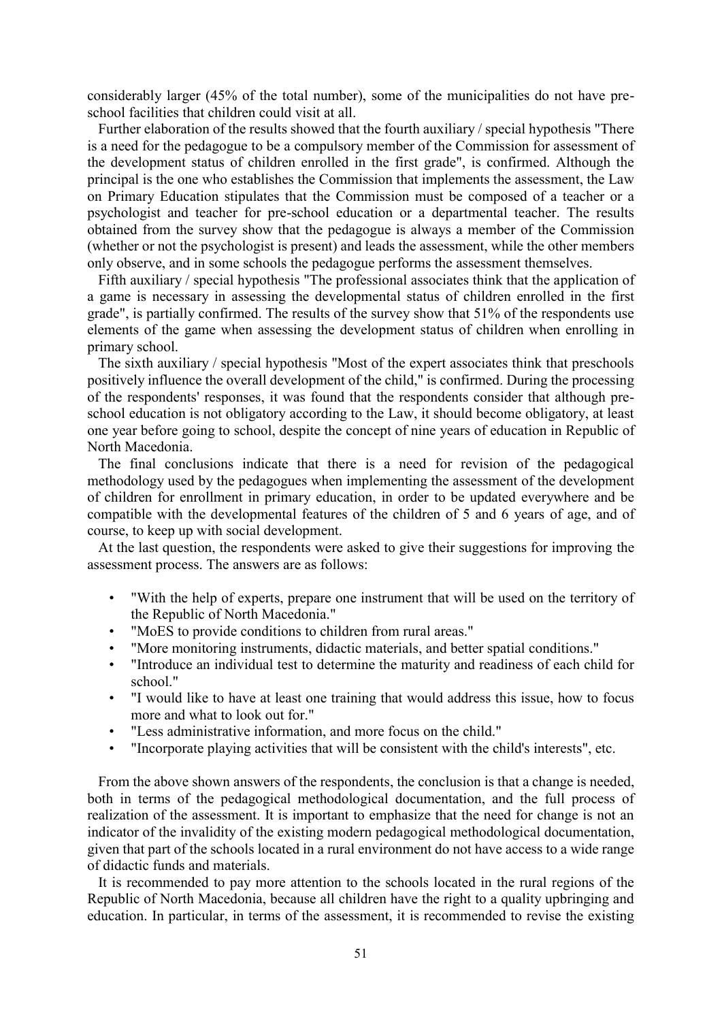considerably larger (45% of the total number), some of the municipalities do not have preschool facilities that children could visit at all.

Further elaboration of the results showed that the fourth auxiliary / special hypothesis "There is a need for the pedagogue to be a compulsory member of the Commission for assessment of the development status of children enrolled in the first grade", is confirmed. Although the principal is the one who establishes the Commission that implements the assessment, the Law on Primary Education stipulates that the Commission must be composed of a teacher or a psychologist and teacher for pre-school education or a departmental teacher. The results obtained from the survey show that the pedagogue is always a member of the Commission (whether or not the psychologist is present) and leads the assessment, while the other members only observe, and in some schools the pedagogue performs the assessment themselves.

Fifth auxiliary / special hypothesis "The professional associates think that the application of a game is necessary in assessing the developmental status of children enrolled in the first grade", is partially confirmed. The results of the survey show that 51% of the respondents use elements of the game when assessing the development status of children when enrolling in primary school.

The sixth auxiliary / special hypothesis "Most of the expert associates think that preschools positively influence the overall development of the child," is confirmed. During the processing of the respondents' responses, it was found that the respondents consider that although preschool education is not obligatory according to the Law, it should become obligatory, at least one year before going to school, despite the concept of nine years of education in Republic of North Macedonia.

The final conclusions indicate that there is a need for revision of the pedagogical methodology used by the pedagogues when implementing the assessment of the development of children for enrollment in primary education, in order to be updated everywhere and be compatible with the developmental features of the children of 5 and 6 years of age, and of course, to keep up with social development.

At the last question, the respondents were asked to give their suggestions for improving the assessment process. The answers are as follows:

- "With the help of experts, prepare one instrument that will be used on the territory of the Republic of North Macedonia."
- "MoES to provide conditions to children from rural areas."
- "More monitoring instruments, didactic materials, and better spatial conditions."
- "Introduce an individual test to determine the maturity and readiness of each child for school."
- "I would like to have at least one training that would address this issue, how to focus more and what to look out for."
- "Less administrative information, and more focus on the child."
- "Incorporate playing activities that will be consistent with the child's interests", etc.

From the above shown answers of the respondents, the conclusion is that a change is needed, both in terms of the pedagogical methodological documentation, and the full process of realization of the assessment. It is important to emphasize that the need for change is not an indicator of the invalidity of the existing modern pedagogical methodological documentation, given that part of the schools located in a rural environment do not have access to a wide range of didactic funds and materials.

It is recommended to pay more attention to the schools located in the rural regions of the Republic of North Macedonia, because all children have the right to a quality upbringing and education. In particular, in terms of the assessment, it is recommended to revise the existing